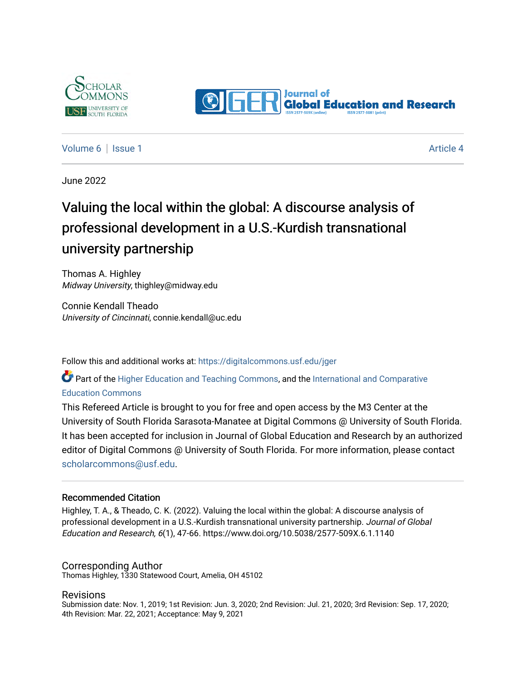



[Volume 6](https://digitalcommons.usf.edu/jger/vol6) | [Issue 1](https://digitalcommons.usf.edu/jger/vol6/iss1) Article 4

June 2022

# Valuing the local within the global: A discourse analysis of professional development in a U.S.-Kurdish transnational university partnership

Thomas A. Highley Midway University, thighley@midway.edu

Connie Kendall Theado University of Cincinnati, connie.kendall@uc.edu

Follow this and additional works at: [https://digitalcommons.usf.edu/jger](https://digitalcommons.usf.edu/jger?utm_source=digitalcommons.usf.edu%2Fjger%2Fvol6%2Fiss1%2F4&utm_medium=PDF&utm_campaign=PDFCoverPages) 

**C** Part of the [Higher Education and Teaching Commons](http://network.bepress.com/hgg/discipline/806?utm_source=digitalcommons.usf.edu%2Fjger%2Fvol6%2Fiss1%2F4&utm_medium=PDF&utm_campaign=PDFCoverPages), and the [International and Comparative](http://network.bepress.com/hgg/discipline/797?utm_source=digitalcommons.usf.edu%2Fjger%2Fvol6%2Fiss1%2F4&utm_medium=PDF&utm_campaign=PDFCoverPages) [Education Commons](http://network.bepress.com/hgg/discipline/797?utm_source=digitalcommons.usf.edu%2Fjger%2Fvol6%2Fiss1%2F4&utm_medium=PDF&utm_campaign=PDFCoverPages) 

This Refereed Article is brought to you for free and open access by the M3 Center at the University of South Florida Sarasota-Manatee at Digital Commons @ University of South Florida. It has been accepted for inclusion in Journal of Global Education and Research by an authorized editor of Digital Commons @ University of South Florida. For more information, please contact [scholarcommons@usf.edu.](mailto:scholarcommons@usf.edu)

#### Recommended Citation

Highley, T. A., & Theado, C. K. (2022). Valuing the local within the global: A discourse analysis of professional development in a U.S.-Kurdish transnational university partnership. Journal of Global Education and Research, 6(1), 47-66. https://www.doi.org/10.5038/2577-509X.6.1.1140

#### Corresponding Author

Thomas Highley, 1330 Statewood Court, Amelia, OH 45102

#### Revisions

Submission date: Nov. 1, 2019; 1st Revision: Jun. 3, 2020; 2nd Revision: Jul. 21, 2020; 3rd Revision: Sep. 17, 2020; 4th Revision: Mar. 22, 2021; Acceptance: May 9, 2021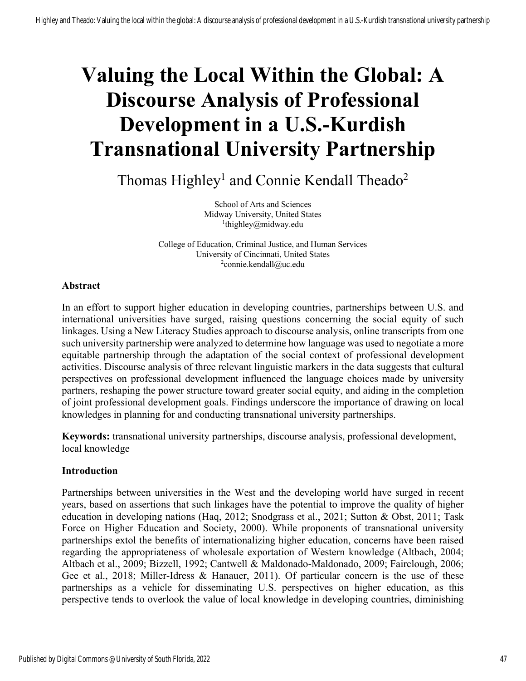# **Valuing the Local Within the Global: A Discourse Analysis of Professional Development in a U.S.-Kurdish Transnational University Partnership**

Thomas Highley<sup>1</sup> and Connie Kendall Theado<sup>2</sup>

School of Arts and Sciences Midway University, United States <sup>1</sup>thighley@midway.edu

College of Education, Criminal Justice, and Human Services University of Cincinnati, United States <sup>2</sup>connie.kendall@uc.edu

#### **Abstract**

In an effort to support higher education in developing countries, partnerships between U.S. and international universities have surged, raising questions concerning the social equity of such linkages. Using a New Literacy Studies approach to discourse analysis, online transcripts from one such university partnership were analyzed to determine how language was used to negotiate a more equitable partnership through the adaptation of the social context of professional development activities. Discourse analysis of three relevant linguistic markers in the data suggests that cultural perspectives on professional development influenced the language choices made by university partners, reshaping the power structure toward greater social equity, and aiding in the completion of joint professional development goals. Findings underscore the importance of drawing on local knowledges in planning for and conducting transnational university partnerships.

**Keywords:** transnational university partnerships, discourse analysis, professional development, local knowledge

# **Introduction**

Partnerships between universities in the West and the developing world have surged in recent years, based on assertions that such linkages have the potential to improve the quality of higher education in developing nations (Haq, 2012; Snodgrass et al., 2021; Sutton & Obst, 2011; Task Force on Higher Education and Society, 2000). While proponents of transnational university partnerships extol the benefits of internationalizing higher education, concerns have been raised regarding the appropriateness of wholesale exportation of Western knowledge (Altbach, 2004; Altbach et al., 2009; Bizzell, 1992; Cantwell & Maldonado-Maldonado, 2009; Fairclough, 2006; Gee et al., 2018; Miller-Idress & Hanauer, 2011). Of particular concern is the use of these partnerships as a vehicle for disseminating U.S. perspectives on higher education, as this perspective tends to overlook the value of local knowledge in developing countries, diminishing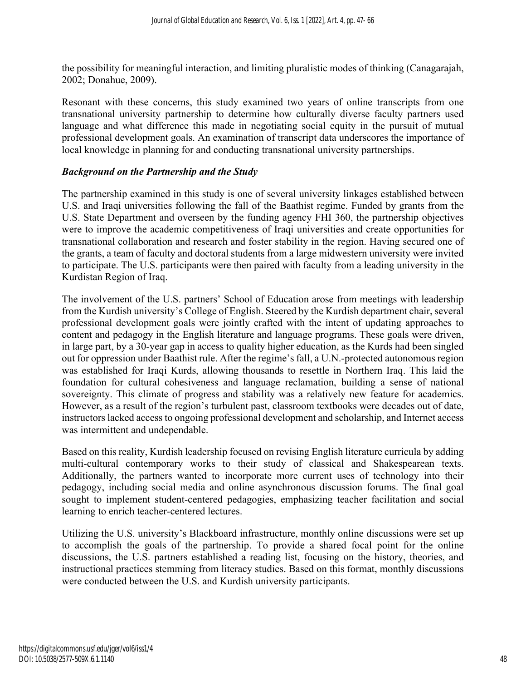the possibility for meaningful interaction, and limiting pluralistic modes of thinking (Canagarajah, 2002; Donahue, 2009).

Resonant with these concerns, this study examined two years of online transcripts from one transnational university partnership to determine how culturally diverse faculty partners used language and what difference this made in negotiating social equity in the pursuit of mutual professional development goals. An examination of transcript data underscores the importance of local knowledge in planning for and conducting transnational university partnerships.

#### *Background on the Partnership and the Study*

The partnership examined in this study is one of several university linkages established between U.S. and Iraqi universities following the fall of the Baathist regime. Funded by grants from the U.S. State Department and overseen by the funding agency FHI 360, the partnership objectives were to improve the academic competitiveness of Iraqi universities and create opportunities for transnational collaboration and research and foster stability in the region. Having secured one of the grants, a team of faculty and doctoral students from a large midwestern university were invited to participate. The U.S. participants were then paired with faculty from a leading university in the Kurdistan Region of Iraq.

The involvement of the U.S. partners' School of Education arose from meetings with leadership from the Kurdish university's College of English. Steered by the Kurdish department chair, several professional development goals were jointly crafted with the intent of updating approaches to content and pedagogy in the English literature and language programs. These goals were driven, in large part, by a 30-year gap in access to quality higher education, as the Kurds had been singled out for oppression under Baathist rule. After the regime's fall, a U.N.-protected autonomous region was established for Iraqi Kurds, allowing thousands to resettle in Northern Iraq. This laid the foundation for cultural cohesiveness and language reclamation, building a sense of national sovereignty. This climate of progress and stability was a relatively new feature for academics. However, as a result of the region's turbulent past, classroom textbooks were decades out of date, instructors lacked access to ongoing professional development and scholarship, and Internet access was intermittent and undependable.

Based on this reality, Kurdish leadership focused on revising English literature curricula by adding multi-cultural contemporary works to their study of classical and Shakespearean texts. Additionally, the partners wanted to incorporate more current uses of technology into their pedagogy, including social media and online asynchronous discussion forums. The final goal sought to implement student-centered pedagogies, emphasizing teacher facilitation and social learning to enrich teacher-centered lectures.

Utilizing the U.S. university's Blackboard infrastructure, monthly online discussions were set up to accomplish the goals of the partnership. To provide a shared focal point for the online discussions, the U.S. partners established a reading list, focusing on the history, theories, and instructional practices stemming from literacy studies. Based on this format, monthly discussions were conducted between the U.S. and Kurdish university participants.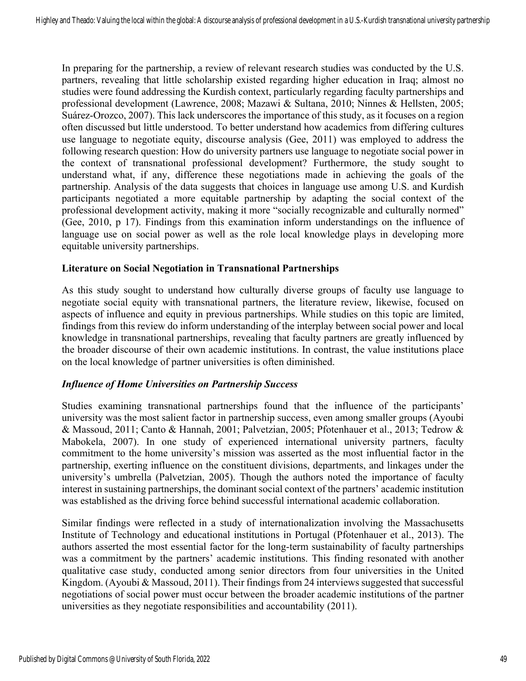In preparing for the partnership, a review of relevant research studies was conducted by the U.S. partners, revealing that little scholarship existed regarding higher education in Iraq; almost no studies were found addressing the Kurdish context, particularly regarding faculty partnerships and professional development (Lawrence, 2008; Mazawi & Sultana, 2010; Ninnes & Hellsten, 2005; Suárez-Orozco, 2007). This lack underscores the importance of this study, as it focuses on a region often discussed but little understood. To better understand how academics from differing cultures use language to negotiate equity, discourse analysis (Gee, 2011) was employed to address the following research question: How do university partners use language to negotiate social power in the context of transnational professional development? Furthermore, the study sought to understand what, if any, difference these negotiations made in achieving the goals of the partnership. Analysis of the data suggests that choices in language use among U.S. and Kurdish participants negotiated a more equitable partnership by adapting the social context of the professional development activity, making it more "socially recognizable and culturally normed" (Gee, 2010, p 17). Findings from this examination inform understandings on the influence of language use on social power as well as the role local knowledge plays in developing more equitable university partnerships.

#### **Literature on Social Negotiation in Transnational Partnerships**

As this study sought to understand how culturally diverse groups of faculty use language to negotiate social equity with transnational partners, the literature review, likewise, focused on aspects of influence and equity in previous partnerships. While studies on this topic are limited, findings from this review do inform understanding of the interplay between social power and local knowledge in transnational partnerships, revealing that faculty partners are greatly influenced by the broader discourse of their own academic institutions. In contrast, the value institutions place on the local knowledge of partner universities is often diminished.

#### *Influence of Home Universities on Partnership Success*

Studies examining transnational partnerships found that the influence of the participants' university was the most salient factor in partnership success, even among smaller groups (Ayoubi & Massoud, 2011; Canto & Hannah, 2001; Palvetzian, 2005; Pfotenhauer et al., 2013; Tedrow & Mabokela, 2007). In one study of experienced international university partners, faculty commitment to the home university's mission was asserted as the most influential factor in the partnership, exerting influence on the constituent divisions, departments, and linkages under the university's umbrella (Palvetzian, 2005). Though the authors noted the importance of faculty interest in sustaining partnerships, the dominant social context of the partners' academic institution was established as the driving force behind successful international academic collaboration.

Similar findings were reflected in a study of internationalization involving the Massachusetts Institute of Technology and educational institutions in Portugal (Pfotenhauer et al., 2013). The authors asserted the most essential factor for the long-term sustainability of faculty partnerships was a commitment by the partners' academic institutions. This finding resonated with another qualitative case study, conducted among senior directors from four universities in the United Kingdom. (Ayoubi & Massoud, 2011). Their findings from 24 interviews suggested that successful negotiations of social power must occur between the broader academic institutions of the partner universities as they negotiate responsibilities and accountability (2011).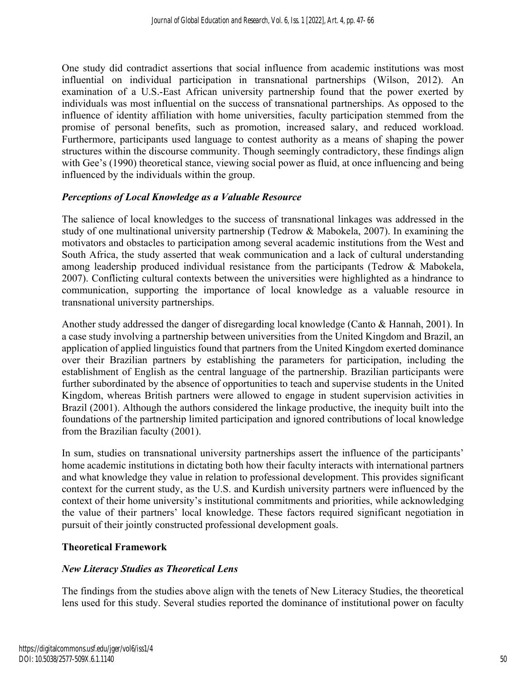One study did contradict assertions that social influence from academic institutions was most influential on individual participation in transnational partnerships (Wilson, 2012). An examination of a U.S.-East African university partnership found that the power exerted by individuals was most influential on the success of transnational partnerships. As opposed to the influence of identity affiliation with home universities, faculty participation stemmed from the promise of personal benefits, such as promotion, increased salary, and reduced workload. Furthermore, participants used language to contest authority as a means of shaping the power structures within the discourse community. Though seemingly contradictory, these findings align with Gee's (1990) theoretical stance, viewing social power as fluid, at once influencing and being influenced by the individuals within the group.

#### *Perceptions of Local Knowledge as a Valuable Resource*

The salience of local knowledges to the success of transnational linkages was addressed in the study of one multinational university partnership (Tedrow & Mabokela, 2007). In examining the motivators and obstacles to participation among several academic institutions from the West and South Africa, the study asserted that weak communication and a lack of cultural understanding among leadership produced individual resistance from the participants (Tedrow & Mabokela, 2007). Conflicting cultural contexts between the universities were highlighted as a hindrance to communication, supporting the importance of local knowledge as a valuable resource in transnational university partnerships.

Another study addressed the danger of disregarding local knowledge (Canto & Hannah, 2001). In a case study involving a partnership between universities from the United Kingdom and Brazil, an application of applied linguistics found that partners from the United Kingdom exerted dominance over their Brazilian partners by establishing the parameters for participation, including the establishment of English as the central language of the partnership. Brazilian participants were further subordinated by the absence of opportunities to teach and supervise students in the United Kingdom, whereas British partners were allowed to engage in student supervision activities in Brazil (2001). Although the authors considered the linkage productive, the inequity built into the foundations of the partnership limited participation and ignored contributions of local knowledge from the Brazilian faculty (2001).

In sum, studies on transnational university partnerships assert the influence of the participants' home academic institutions in dictating both how their faculty interacts with international partners and what knowledge they value in relation to professional development. This provides significant context for the current study, as the U.S. and Kurdish university partners were influenced by the context of their home university's institutional commitments and priorities, while acknowledging the value of their partners' local knowledge. These factors required significant negotiation in pursuit of their jointly constructed professional development goals.

#### **Theoretical Framework**

#### *New Literacy Studies as Theoretical Lens*

The findings from the studies above align with the tenets of New Literacy Studies, the theoretical lens used for this study. Several studies reported the dominance of institutional power on faculty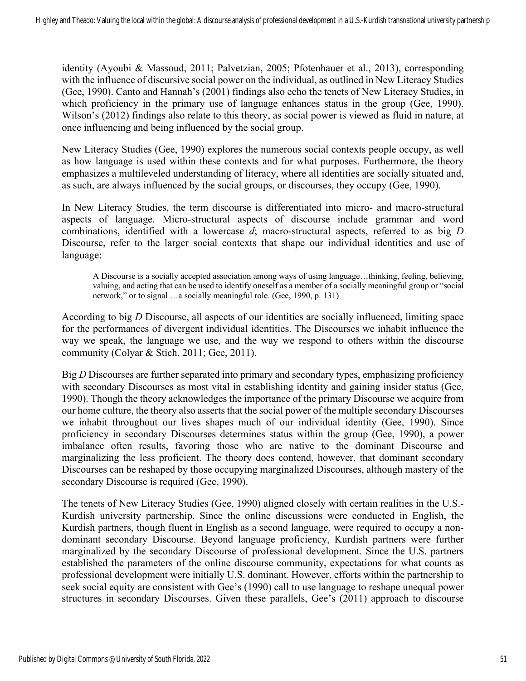identity (Ayoubi & Massoud, 2011; Palvetzian, 2005; Pfotenhauer et al., 2013), corresponding with the influence of discursive social power on the individual, as outlined in New Literacy Studies (Gee, 1990). Canto and Hannah's (2001) findings also echo the tenets of New Literacy Studies, in which proficiency in the primary use of language enhances status in the group (Gee, 1990). Wilson's (2012) findings also relate to this theory, as social power is viewed as fluid in nature, at once influencing and being influenced by the social group.

New Literacy Studies (Gee, 1990) explores the numerous social contexts people occupy, as well as how language is used within these contexts and for what purposes. Furthermore, the theory emphasizes a multileveled understanding of literacy, where all identities are socially situated and, as such, are always influenced by the social groups, or discourses, they occupy (Gee, 1990).

In New Literacy Studies, the term discourse is differentiated into micro- and macro-structural aspects of language. Micro-structural aspects of discourse include grammar and word combinations, identified with a lowercase *d*; macro-structural aspects, referred to as big *D* Discourse, refer to the larger social contexts that shape our individual identities and use of language:

A Discourse is a socially accepted association among ways of using language…thinking, feeling, believing, valuing, and acting that can be used to identify oneself as a member of a socially meaningful group or "social network," or to signal …a socially meaningful role. (Gee, 1990, p. 131)

According to big *D* Discourse, all aspects of our identities are socially influenced, limiting space for the performances of divergent individual identities. The Discourses we inhabit influence the way we speak, the language we use, and the way we respond to others within the discourse community (Colyar & Stich, 2011; Gee, 2011).

Big *D* Discourses are further separated into primary and secondary types, emphasizing proficiency with secondary Discourses as most vital in establishing identity and gaining insider status (Gee, 1990). Though the theory acknowledges the importance of the primary Discourse we acquire from our home culture, the theory also asserts that the social power of the multiple secondary Discourses we inhabit throughout our lives shapes much of our individual identity (Gee, 1990). Since proficiency in secondary Discourses determines status within the group (Gee, 1990), a power imbalance often results, favoring those who are native to the dominant Discourse and marginalizing the less proficient. The theory does contend, however, that dominant secondary Discourses can be reshaped by those occupying marginalized Discourses, although mastery of the secondary Discourse is required (Gee, 1990).

The tenets of New Literacy Studies (Gee, 1990) aligned closely with certain realities in the U.S.- Kurdish university partnership. Since the online discussions were conducted in English, the Kurdish partners, though fluent in English as a second language, were required to occupy a nondominant secondary Discourse. Beyond language proficiency, Kurdish partners were further marginalized by the secondary Discourse of professional development. Since the U.S. partners established the parameters of the online discourse community, expectations for what counts as professional development were initially U.S. dominant. However, efforts within the partnership to seek social equity are consistent with Gee's (1990) call to use language to reshape unequal power structures in secondary Discourses. Given these parallels, Gee's (2011) approach to discourse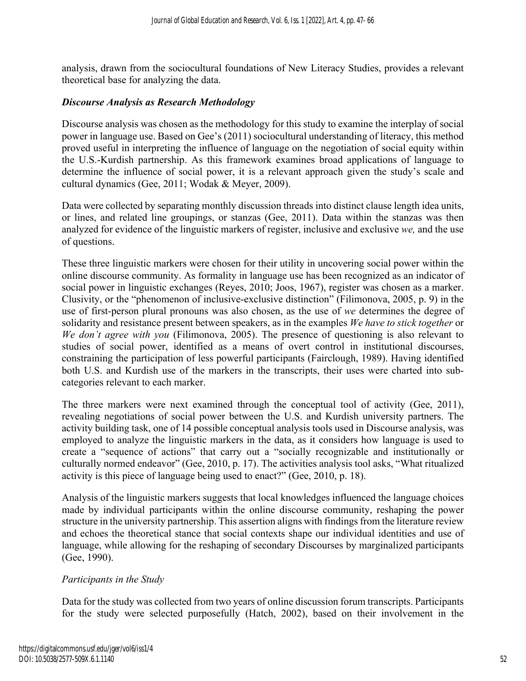analysis, drawn from the sociocultural foundations of New Literacy Studies, provides a relevant theoretical base for analyzing the data.

#### *Discourse Analysis as Research Methodology*

Discourse analysis was chosen as the methodology for this study to examine the interplay of social power in language use. Based on Gee's (2011) sociocultural understanding of literacy, this method proved useful in interpreting the influence of language on the negotiation of social equity within the U.S.-Kurdish partnership. As this framework examines broad applications of language to determine the influence of social power, it is a relevant approach given the study's scale and cultural dynamics (Gee, 2011; Wodak & Meyer, 2009).

Data were collected by separating monthly discussion threads into distinct clause length idea units, or lines, and related line groupings, or stanzas (Gee, 2011). Data within the stanzas was then analyzed for evidence of the linguistic markers of register, inclusive and exclusive *we,* and the use of questions.

These three linguistic markers were chosen for their utility in uncovering social power within the online discourse community. As formality in language use has been recognized as an indicator of social power in linguistic exchanges (Reyes, 2010; Joos, 1967), register was chosen as a marker. Clusivity, or the "phenomenon of inclusive-exclusive distinction" (Filimonova, 2005, p. 9) in the use of first-person plural pronouns was also chosen, as the use of *we* determines the degree of solidarity and resistance present between speakers, as in the examples *We have to stick together* or *We don't agree with you* (Filimonova, 2005). The presence of questioning is also relevant to studies of social power, identified as a means of overt control in institutional discourses, constraining the participation of less powerful participants (Fairclough, 1989). Having identified both U.S. and Kurdish use of the markers in the transcripts, their uses were charted into subcategories relevant to each marker.

The three markers were next examined through the conceptual tool of activity (Gee, 2011), revealing negotiations of social power between the U.S. and Kurdish university partners. The activity building task, one of 14 possible conceptual analysis tools used in Discourse analysis, was employed to analyze the linguistic markers in the data, as it considers how language is used to create a "sequence of actions" that carry out a "socially recognizable and institutionally or culturally normed endeavor" (Gee, 2010, p. 17). The activities analysis tool asks, "What ritualized activity is this piece of language being used to enact?" (Gee, 2010, p. 18).

Analysis of the linguistic markers suggests that local knowledges influenced the language choices made by individual participants within the online discourse community, reshaping the power structure in the university partnership. This assertion aligns with findings from the literature review and echoes the theoretical stance that social contexts shape our individual identities and use of language, while allowing for the reshaping of secondary Discourses by marginalized participants (Gee, 1990).

#### *Participants in the Study*

Data for the study was collected from two years of online discussion forum transcripts. Participants for the study were selected purposefully (Hatch, 2002), based on their involvement in the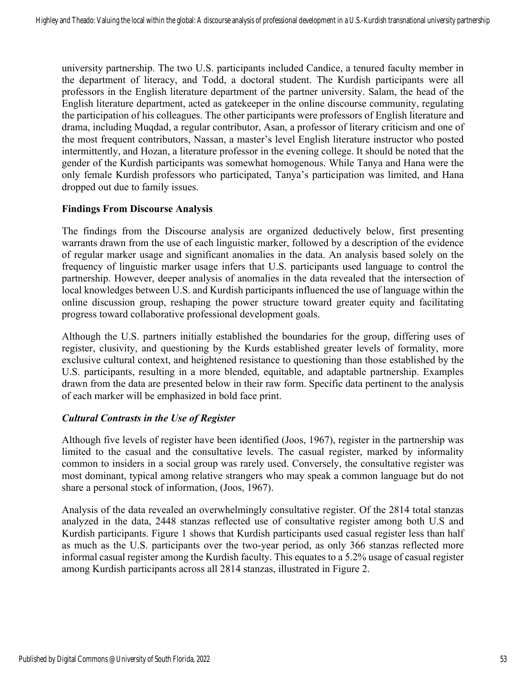university partnership. The two U.S. participants included Candice, a tenured faculty member in the department of literacy, and Todd, a doctoral student. The Kurdish participants were all professors in the English literature department of the partner university. Salam, the head of the English literature department, acted as gatekeeper in the online discourse community, regulating the participation of his colleagues. The other participants were professors of English literature and drama, including Muqdad, a regular contributor, Asan, a professor of literary criticism and one of the most frequent contributors, Nassan, a master's level English literature instructor who posted intermittently, and Hozan, a literature professor in the evening college. It should be noted that the gender of the Kurdish participants was somewhat homogenous. While Tanya and Hana were the only female Kurdish professors who participated, Tanya's participation was limited, and Hana dropped out due to family issues.

#### **Findings From Discourse Analysis**

The findings from the Discourse analysis are organized deductively below, first presenting warrants drawn from the use of each linguistic marker, followed by a description of the evidence of regular marker usage and significant anomalies in the data. An analysis based solely on the frequency of linguistic marker usage infers that U.S. participants used language to control the partnership. However, deeper analysis of anomalies in the data revealed that the intersection of local knowledges between U.S. and Kurdish participants influenced the use of language within the online discussion group, reshaping the power structure toward greater equity and facilitating progress toward collaborative professional development goals.

Although the U.S. partners initially established the boundaries for the group, differing uses of register, clusivity, and questioning by the Kurds established greater levels of formality, more exclusive cultural context, and heightened resistance to questioning than those established by the U.S. participants, resulting in a more blended, equitable, and adaptable partnership. Examples drawn from the data are presented below in their raw form. Specific data pertinent to the analysis of each marker will be emphasized in bold face print.

#### *Cultural Contrasts in the Use of Register*

Although five levels of register have been identified (Joos, 1967), register in the partnership was limited to the casual and the consultative levels. The casual register, marked by informality common to insiders in a social group was rarely used. Conversely, the consultative register was most dominant, typical among relative strangers who may speak a common language but do not share a personal stock of information, (Joos, 1967).

Analysis of the data revealed an overwhelmingly consultative register. Of the 2814 total stanzas analyzed in the data, 2448 stanzas reflected use of consultative register among both U.S and Kurdish participants. Figure 1 shows that Kurdish participants used casual register less than half as much as the U.S. participants over the two-year period, as only 366 stanzas reflected more informal casual register among the Kurdish faculty. This equates to a 5.2% usage of casual register among Kurdish participants across all 2814 stanzas, illustrated in Figure 2.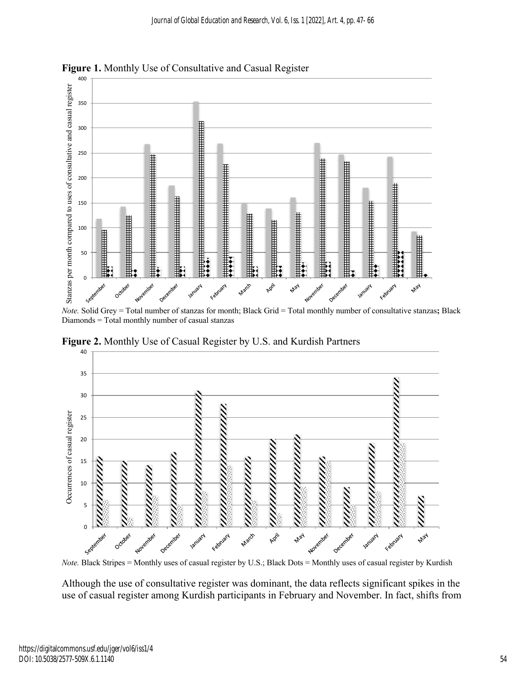

**Figure 1.** Monthly Use of Consultative and Casual Register

*Note.* Solid Grey = Total number of stanzas for month; Black Grid = Total monthly number of consultative stanzas**;** Black Diamonds = Total monthly number of casual stanzas

**Figure 2.** Monthly Use of Casual Register by U.S. and Kurdish Partners



*Note.* Black Stripes = Monthly uses of casual register by U.S.; Black Dots = Monthly uses of casual register by Kurdish

Although the use of consultative register was dominant, the data reflects significant spikes in the use of casual register among Kurdish participants in February and November. In fact, shifts from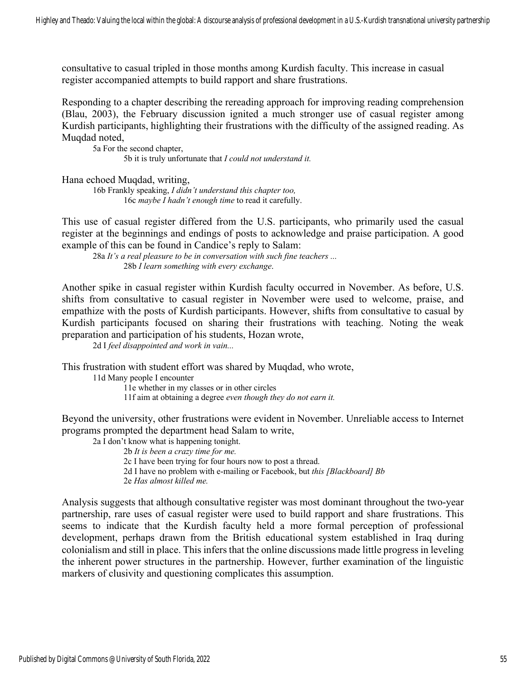consultative to casual tripled in those months among Kurdish faculty. This increase in casual register accompanied attempts to build rapport and share frustrations.

Responding to a chapter describing the rereading approach for improving reading comprehension (Blau, 2003), the February discussion ignited a much stronger use of casual register among Kurdish participants, highlighting their frustrations with the difficulty of the assigned reading. As Muqdad noted,

5a For the second chapter, 5b it is truly unfortunate that *I could not understand it.*

Hana echoed Muqdad, writing,

16b Frankly speaking, *I didn't understand this chapter too,* 16c *maybe I hadn't enough time* to read it carefully.

This use of casual register differed from the U.S. participants, who primarily used the casual register at the beginnings and endings of posts to acknowledge and praise participation. A good example of this can be found in Candice's reply to Salam:

28a *It's a real pleasure to be in conversation with such fine teachers ...* 28b *I learn something with every exchange*.

Another spike in casual register within Kurdish faculty occurred in November. As before, U.S. shifts from consultative to casual register in November were used to welcome, praise, and empathize with the posts of Kurdish participants. However, shifts from consultative to casual by Kurdish participants focused on sharing their frustrations with teaching. Noting the weak preparation and participation of his students, Hozan wrote,

2d I *feel disappointed and work in vain...*

This frustration with student effort was shared by Muqdad, who wrote,

11d Many people I encounter

11e whether in my classes or in other circles

11f aim at obtaining a degree *even though they do not earn it.*

Beyond the university, other frustrations were evident in November. Unreliable access to Internet programs prompted the department head Salam to write,

2a I don't know what is happening tonight.

2b *It is been a crazy time for me.*

2c I have been trying for four hours now to post a thread.

- 2d I have no problem with e-mailing or Facebook, but *this [Blackboard] Bb*
- 2e *Has almost killed me.*

Analysis suggests that although consultative register was most dominant throughout the two-year partnership, rare uses of casual register were used to build rapport and share frustrations. This seems to indicate that the Kurdish faculty held a more formal perception of professional development, perhaps drawn from the British educational system established in Iraq during colonialism and still in place. This infers that the online discussions made little progress in leveling the inherent power structures in the partnership. However, further examination of the linguistic markers of clusivity and questioning complicates this assumption.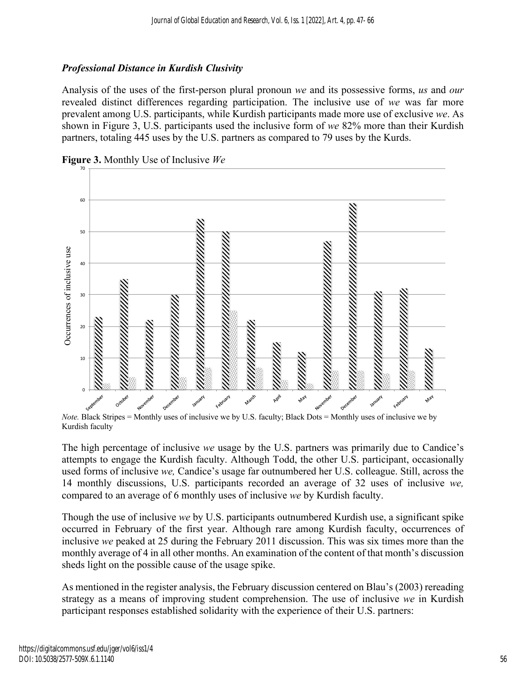### *Professional Distance in Kurdish Clusivity*

Analysis of the uses of the first-person plural pronoun *we* and its possessive forms, *us* and *our* revealed distinct differences regarding participation. The inclusive use of *we* was far more prevalent among U.S. participants, while Kurdish participants made more use of exclusive *we*. As shown in Figure 3, U.S. participants used the inclusive form of *we* 82% more than their Kurdish partners, totaling 445 uses by the U.S. partners as compared to 79 uses by the Kurds.



**Figure 3.** Monthly Use of Inclusive *We* 

*Note.* Black Stripes = Monthly uses of inclusive we by U.S. faculty; Black Dots = Monthly uses of inclusive we by Kurdish faculty

The high percentage of inclusive *we* usage by the U.S. partners was primarily due to Candice's attempts to engage the Kurdish faculty. Although Todd, the other U.S. participant, occasionally used forms of inclusive *we,* Candice's usage far outnumbered her U.S. colleague. Still, across the 14 monthly discussions, U.S. participants recorded an average of 32 uses of inclusive *we,*  compared to an average of 6 monthly uses of inclusive *we* by Kurdish faculty.

Though the use of inclusive *we* by U.S. participants outnumbered Kurdish use, a significant spike occurred in February of the first year. Although rare among Kurdish faculty, occurrences of inclusive *we* peaked at 25 during the February 2011 discussion. This was six times more than the monthly average of 4 in all other months. An examination of the content of that month's discussion sheds light on the possible cause of the usage spike.

As mentioned in the register analysis, the February discussion centered on Blau's (2003) rereading strategy as a means of improving student comprehension. The use of inclusive *we* in Kurdish participant responses established solidarity with the experience of their U.S. partners: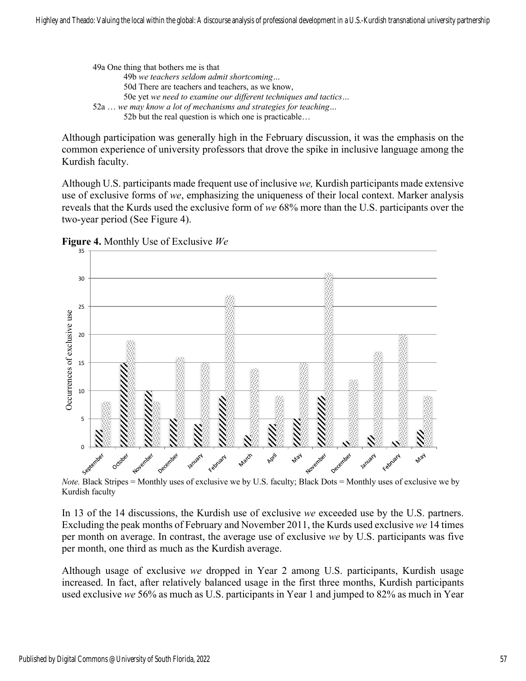49a One thing that bothers me is that 49b *we teachers seldom admit shortcoming…* 50d There are teachers and teachers, as we know, 50e yet *we need to examine our different techniques and tactics…* 52a … *we may know a lot of mechanisms and strategies for teaching…* 52b but the real question is which one is practicable…

Although participation was generally high in the February discussion, it was the emphasis on the common experience of university professors that drove the spike in inclusive language among the Kurdish faculty.

Although U.S. participants made frequent use of inclusive *we,* Kurdish participants made extensive use of exclusive forms of *we*, emphasizing the uniqueness of their local context. Marker analysis reveals that the Kurds used the exclusive form of *we* 68% more than the U.S. participants over the two-year period (See Figure 4).

**Figure 4.** Monthly Use of Exclusive *We*



Kurdish faculty

In 13 of the 14 discussions, the Kurdish use of exclusive *we* exceeded use by the U.S. partners. Excluding the peak months of February and November 2011, the Kurds used exclusive *we* 14 times per month on average. In contrast, the average use of exclusive *we* by U.S. participants was five per month, one third as much as the Kurdish average.

Although usage of exclusive *we* dropped in Year 2 among U.S. participants, Kurdish usage increased. In fact, after relatively balanced usage in the first three months, Kurdish participants used exclusive *we* 56% as much as U.S. participants in Year 1 and jumped to 82% as much in Year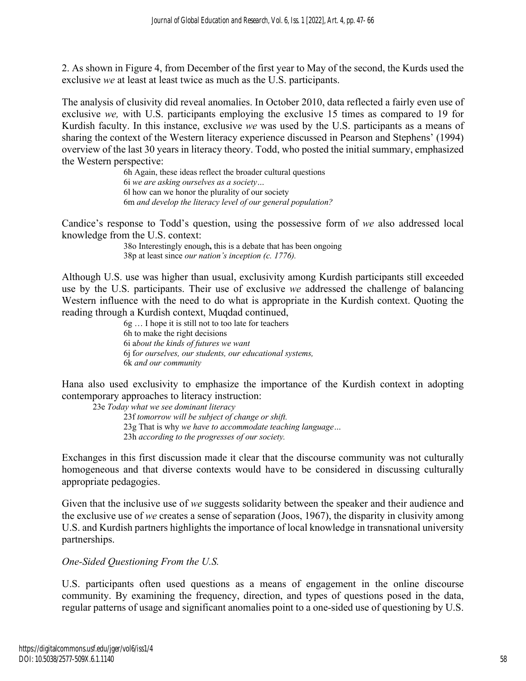2. As shown in Figure 4, from December of the first year to May of the second, the Kurds used the exclusive *we* at least at least twice as much as the U.S. participants.

The analysis of clusivity did reveal anomalies. In October 2010, data reflected a fairly even use of exclusive *we,* with U.S. participants employing the exclusive 15 times as compared to 19 for Kurdish faculty. In this instance, exclusive *we* was used by the U.S. participants as a means of sharing the context of the Western literacy experience discussed in Pearson and Stephens' (1994) overview of the last 30 years in literacy theory. Todd, who posted the initial summary, emphasized the Western perspective:

> 6h Again, these ideas reflect the broader cultural questions 6i *we are asking ourselves as a society…* 6l how can we honor the plurality of our society 6m *and develop the literacy level of our general population?*

Candice's response to Todd's question, using the possessive form of *we* also addressed local knowledge from the U.S. context:

> 38o Interestingly enough**,** this is a debate that has been ongoing 38p at least since *our nation's inception (c. 1776).*

Although U.S. use was higher than usual, exclusivity among Kurdish participants still exceeded use by the U.S. participants. Their use of exclusive *we* addressed the challenge of balancing Western influence with the need to do what is appropriate in the Kurdish context. Quoting the reading through a Kurdish context, Muqdad continued,

> 6g … I hope it is still not to too late for teachers 6h to make the right decisions 6i a*bout the kinds of futures we want* 6j f*or ourselves, our students, our educational systems,*  6k *and our community*

Hana also used exclusivity to emphasize the importance of the Kurdish context in adopting contemporary approaches to literacy instruction:

23e *Today what we see dominant literacy* 23f *tomorrow will be subject of change or shift.* 23g That is why *we have to accommodate teaching language…* 23h *according to the progresses of our society.*

Exchanges in this first discussion made it clear that the discourse community was not culturally homogeneous and that diverse contexts would have to be considered in discussing culturally appropriate pedagogies.

Given that the inclusive use of *we* suggests solidarity between the speaker and their audience and the exclusive use of *we* creates a sense of separation (Joos, 1967), the disparity in clusivity among U.S. and Kurdish partners highlights the importance of local knowledge in transnational university partnerships.

*One-Sided Questioning From the U.S.* 

U.S. participants often used questions as a means of engagement in the online discourse community. By examining the frequency, direction, and types of questions posed in the data, regular patterns of usage and significant anomalies point to a one-sided use of questioning by U.S.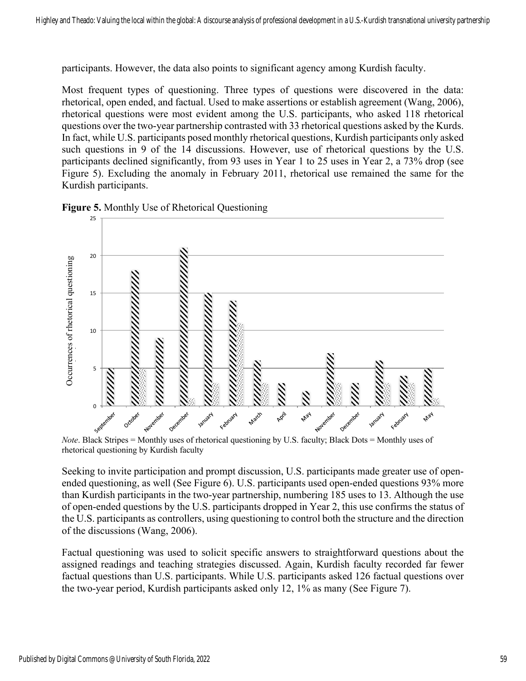participants. However, the data also points to significant agency among Kurdish faculty.

Most frequent types of questioning. Three types of questions were discovered in the data: rhetorical, open ended, and factual. Used to make assertions or establish agreement (Wang, 2006), rhetorical questions were most evident among the U.S. participants, who asked 118 rhetorical questions over the two-year partnership contrasted with 33 rhetorical questions asked by the Kurds. In fact, while U.S. participants posed monthly rhetorical questions, Kurdish participants only asked such questions in 9 of the 14 discussions. However, use of rhetorical questions by the U.S. participants declined significantly, from 93 uses in Year 1 to 25 uses in Year 2, a 73% drop (see Figure 5). Excluding the anomaly in February 2011, rhetorical use remained the same for the Kurdish participants.





*Note*. Black Stripes = Monthly uses of rhetorical questioning by U.S. faculty; Black Dots = Monthly uses of rhetorical questioning by Kurdish faculty

Seeking to invite participation and prompt discussion, U.S. participants made greater use of openended questioning, as well (See Figure 6). U.S. participants used open-ended questions 93% more than Kurdish participants in the two-year partnership, numbering 185 uses to 13. Although the use of open-ended questions by the U.S. participants dropped in Year 2, this use confirms the status of the U.S. participants as controllers, using questioning to control both the structure and the direction of the discussions (Wang, 2006).

Factual questioning was used to solicit specific answers to straightforward questions about the assigned readings and teaching strategies discussed. Again, Kurdish faculty recorded far fewer factual questions than U.S. participants. While U.S. participants asked 126 factual questions over the two-year period, Kurdish participants asked only 12, 1% as many (See Figure 7).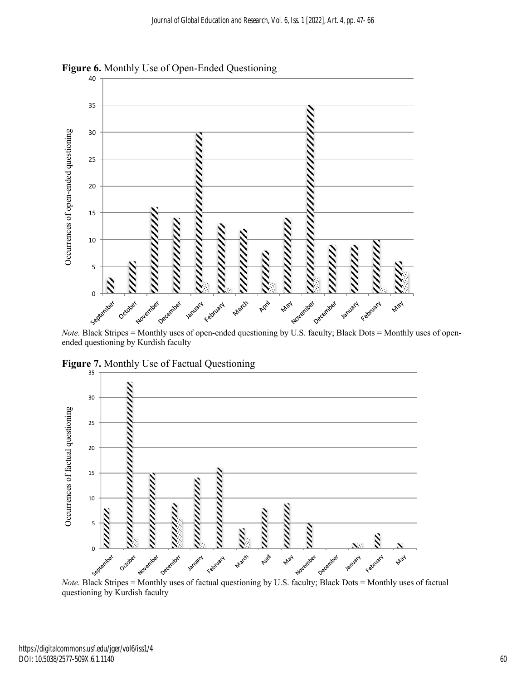

**Figure 6.** Monthly Use of Open-Ended Questioning

ended questioning by Kurdish faculty



**Figure 7.** Monthly Use of Factual Questioning

questioning by Kurdish faculty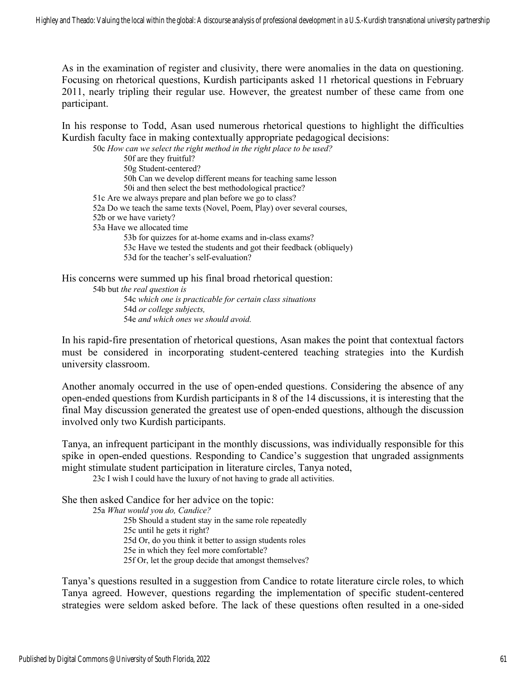As in the examination of register and clusivity, there were anomalies in the data on questioning. Focusing on rhetorical questions, Kurdish participants asked 11 rhetorical questions in February 2011, nearly tripling their regular use. However, the greatest number of these came from one participant.

In his response to Todd, Asan used numerous rhetorical questions to highlight the difficulties Kurdish faculty face in making contextually appropriate pedagogical decisions:

50c *How can we select the right method in the right place to be used?* 50f are they fruitful? 50g Student-centered? 50h Can we develop different means for teaching same lesson 50i and then select the best methodological practice? 51c Are we always prepare and plan before we go to class? 52a Do we teach the same texts (Novel, Poem, Play) over several courses, 52b or we have variety? 53a Have we allocated time 53b for quizzes for at-home exams and in-class exams? 53c Have we tested the students and got their feedback (obliquely) 53d for the teacher's self-evaluation?

His concerns were summed up his final broad rhetorical question: 54b but *the real question is* 54c *which one is practicable for certain class situations* 54d *or college subjects,* 54e *and which ones we should avoid.*

In his rapid-fire presentation of rhetorical questions, Asan makes the point that contextual factors must be considered in incorporating student-centered teaching strategies into the Kurdish university classroom.

Another anomaly occurred in the use of open-ended questions. Considering the absence of any open-ended questions from Kurdish participants in 8 of the 14 discussions, it is interesting that the final May discussion generated the greatest use of open-ended questions, although the discussion involved only two Kurdish participants.

Tanya, an infrequent participant in the monthly discussions, was individually responsible for this spike in open-ended questions. Responding to Candice's suggestion that ungraded assignments might stimulate student participation in literature circles, Tanya noted,

23c I wish I could have the luxury of not having to grade all activities.

She then asked Candice for her advice on the topic:

25a *What would you do, Candice?*

25b Should a student stay in the same role repeatedly 25c until he gets it right? 25d Or, do you think it better to assign students roles 25e in which they feel more comfortable? 25f Or, let the group decide that amongst themselves?

Tanya's questions resulted in a suggestion from Candice to rotate literature circle roles, to which Tanya agreed. However, questions regarding the implementation of specific student-centered strategies were seldom asked before. The lack of these questions often resulted in a one-sided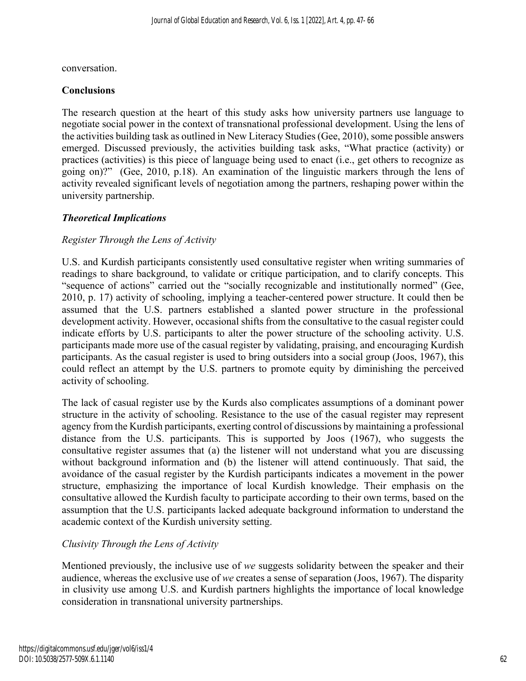conversation.

#### **Conclusions**

The research question at the heart of this study asks how university partners use language to negotiate social power in the context of transnational professional development. Using the lens of the activities building task as outlined in New Literacy Studies (Gee, 2010), some possible answers emerged. Discussed previously, the activities building task asks, "What practice (activity) or practices (activities) is this piece of language being used to enact (i.e., get others to recognize as going on)?" (Gee, 2010, p.18). An examination of the linguistic markers through the lens of activity revealed significant levels of negotiation among the partners, reshaping power within the university partnership.

# *Theoretical Implications*

### *Register Through the Lens of Activity*

U.S. and Kurdish participants consistently used consultative register when writing summaries of readings to share background, to validate or critique participation, and to clarify concepts. This "sequence of actions" carried out the "socially recognizable and institutionally normed" (Gee, 2010, p. 17) activity of schooling, implying a teacher-centered power structure. It could then be assumed that the U.S. partners established a slanted power structure in the professional development activity. However, occasional shifts from the consultative to the casual register could indicate efforts by U.S. participants to alter the power structure of the schooling activity. U.S. participants made more use of the casual register by validating, praising, and encouraging Kurdish participants. As the casual register is used to bring outsiders into a social group (Joos, 1967), this could reflect an attempt by the U.S. partners to promote equity by diminishing the perceived activity of schooling.

The lack of casual register use by the Kurds also complicates assumptions of a dominant power structure in the activity of schooling. Resistance to the use of the casual register may represent agency from the Kurdish participants, exerting control of discussions by maintaining a professional distance from the U.S. participants. This is supported by Joos (1967), who suggests the consultative register assumes that (a) the listener will not understand what you are discussing without background information and (b) the listener will attend continuously. That said, the avoidance of the casual register by the Kurdish participants indicates a movement in the power structure, emphasizing the importance of local Kurdish knowledge. Their emphasis on the consultative allowed the Kurdish faculty to participate according to their own terms, based on the assumption that the U.S. participants lacked adequate background information to understand the academic context of the Kurdish university setting.

# *Clusivity Through the Lens of Activity*

Mentioned previously, the inclusive use of *we* suggests solidarity between the speaker and their audience, whereas the exclusive use of *we* creates a sense of separation (Joos, 1967). The disparity in clusivity use among U.S. and Kurdish partners highlights the importance of local knowledge consideration in transnational university partnerships.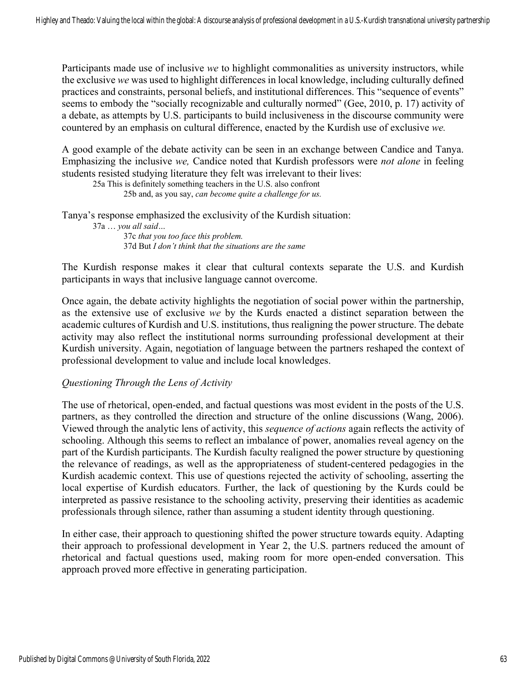Participants made use of inclusive *we* to highlight commonalities as university instructors, while the exclusive *we* was used to highlight differences in local knowledge, including culturally defined practices and constraints, personal beliefs, and institutional differences. This "sequence of events" seems to embody the "socially recognizable and culturally normed" (Gee, 2010, p. 17) activity of a debate, as attempts by U.S. participants to build inclusiveness in the discourse community were countered by an emphasis on cultural difference, enacted by the Kurdish use of exclusive *we.*

A good example of the debate activity can be seen in an exchange between Candice and Tanya. Emphasizing the inclusive *we,* Candice noted that Kurdish professors were *not alone* in feeling students resisted studying literature they felt was irrelevant to their lives:

25a This is definitely something teachers in the U.S. also confront 25b and, as you say, *can become quite a challenge for us.*

Tanya's response emphasized the exclusivity of the Kurdish situation:

37a … *you all said…*  37c *that you too face this problem.* 37d But *I don't think that the situations are the same*

The Kurdish response makes it clear that cultural contexts separate the U.S. and Kurdish participants in ways that inclusive language cannot overcome.

Once again, the debate activity highlights the negotiation of social power within the partnership, as the extensive use of exclusive *we* by the Kurds enacted a distinct separation between the academic cultures of Kurdish and U.S. institutions, thus realigning the power structure. The debate activity may also reflect the institutional norms surrounding professional development at their Kurdish university. Again, negotiation of language between the partners reshaped the context of professional development to value and include local knowledges.

#### *Questioning Through the Lens of Activity*

The use of rhetorical, open-ended, and factual questions was most evident in the posts of the U.S. partners, as they controlled the direction and structure of the online discussions (Wang, 2006). Viewed through the analytic lens of activity, this *sequence of actions* again reflects the activity of schooling. Although this seems to reflect an imbalance of power, anomalies reveal agency on the part of the Kurdish participants. The Kurdish faculty realigned the power structure by questioning the relevance of readings, as well as the appropriateness of student-centered pedagogies in the Kurdish academic context. This use of questions rejected the activity of schooling, asserting the local expertise of Kurdish educators. Further, the lack of questioning by the Kurds could be interpreted as passive resistance to the schooling activity, preserving their identities as academic professionals through silence, rather than assuming a student identity through questioning.

In either case, their approach to questioning shifted the power structure towards equity. Adapting their approach to professional development in Year 2, the U.S. partners reduced the amount of rhetorical and factual questions used, making room for more open-ended conversation. This approach proved more effective in generating participation.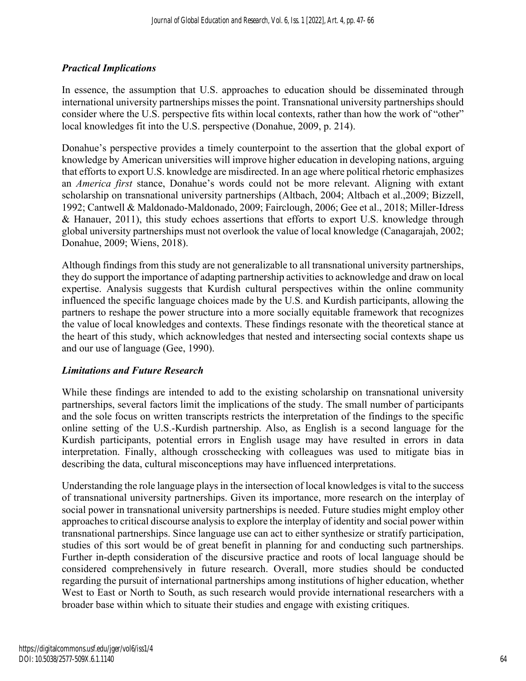## *Practical Implications*

In essence, the assumption that U.S. approaches to education should be disseminated through international university partnerships misses the point. Transnational university partnerships should consider where the U.S. perspective fits within local contexts, rather than how the work of "other" local knowledges fit into the U.S. perspective (Donahue, 2009, p. 214).

Donahue's perspective provides a timely counterpoint to the assertion that the global export of knowledge by American universities will improve higher education in developing nations, arguing that efforts to export U.S. knowledge are misdirected. In an age where political rhetoric emphasizes an *America first* stance, Donahue's words could not be more relevant. Aligning with extant scholarship on transnational university partnerships (Altbach, 2004; Altbach et al.,2009; Bizzell, 1992; Cantwell & Maldonado-Maldonado, 2009; Fairclough, 2006; Gee et al., 2018; Miller-Idress & Hanauer, 2011), this study echoes assertions that efforts to export U.S. knowledge through global university partnerships must not overlook the value of local knowledge (Canagarajah, 2002; Donahue, 2009; Wiens, 2018).

Although findings from this study are not generalizable to all transnational university partnerships, they do support the importance of adapting partnership activities to acknowledge and draw on local expertise. Analysis suggests that Kurdish cultural perspectives within the online community influenced the specific language choices made by the U.S. and Kurdish participants, allowing the partners to reshape the power structure into a more socially equitable framework that recognizes the value of local knowledges and contexts. These findings resonate with the theoretical stance at the heart of this study, which acknowledges that nested and intersecting social contexts shape us and our use of language (Gee, 1990).

#### *Limitations and Future Research*

While these findings are intended to add to the existing scholarship on transnational university partnerships, several factors limit the implications of the study. The small number of participants and the sole focus on written transcripts restricts the interpretation of the findings to the specific online setting of the U.S.-Kurdish partnership. Also, as English is a second language for the Kurdish participants, potential errors in English usage may have resulted in errors in data interpretation. Finally, although crosschecking with colleagues was used to mitigate bias in describing the data, cultural misconceptions may have influenced interpretations.

Understanding the role language plays in the intersection of local knowledges is vital to the success of transnational university partnerships. Given its importance, more research on the interplay of social power in transnational university partnerships is needed. Future studies might employ other approaches to critical discourse analysis to explore the interplay of identity and social power within transnational partnerships. Since language use can act to either synthesize or stratify participation, studies of this sort would be of great benefit in planning for and conducting such partnerships. Further in-depth consideration of the discursive practice and roots of local language should be considered comprehensively in future research. Overall, more studies should be conducted regarding the pursuit of international partnerships among institutions of higher education, whether West to East or North to South, as such research would provide international researchers with a broader base within which to situate their studies and engage with existing critiques.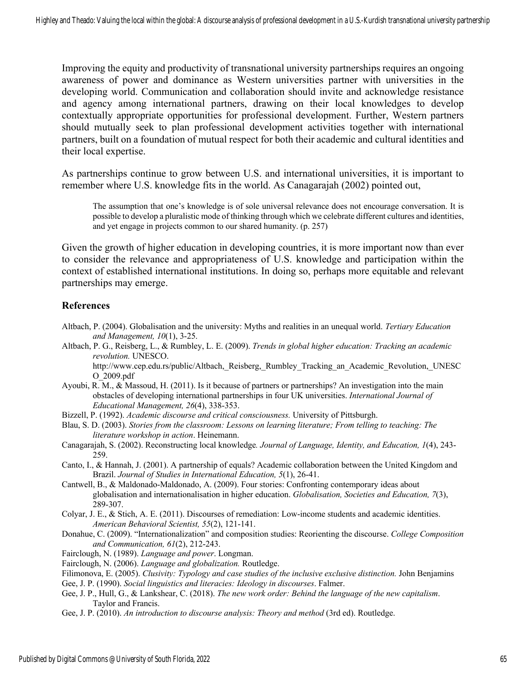Improving the equity and productivity of transnational university partnerships requires an ongoing awareness of power and dominance as Western universities partner with universities in the developing world. Communication and collaboration should invite and acknowledge resistance and agency among international partners, drawing on their local knowledges to develop contextually appropriate opportunities for professional development. Further, Western partners should mutually seek to plan professional development activities together with international partners, built on a foundation of mutual respect for both their academic and cultural identities and their local expertise.

As partnerships continue to grow between U.S. and international universities, it is important to remember where U.S. knowledge fits in the world. As Canagarajah (2002) pointed out,

The assumption that one's knowledge is of sole universal relevance does not encourage conversation. It is possible to develop a pluralistic mode of thinking through which we celebrate different cultures and identities, and yet engage in projects common to our shared humanity. (p. 257)

Given the growth of higher education in developing countries, it is more important now than ever to consider the relevance and appropriateness of U.S. knowledge and participation within the context of established international institutions. In doing so, perhaps more equitable and relevant partnerships may emerge.

#### **References**

- Altbach, P. (2004). Globalisation and the university: Myths and realities in an unequal world. *Tertiary Education and Management, 10*(1), 3-25.
- Altbach, P. G., Reisberg, L., & Rumbley, L. E. (2009). *Trends in global higher education: Tracking an academic revolution.* UNESCO.

http://www.cep.edu.rs/public/Altbach,\_Reisberg,\_Rumbley\_Tracking\_an\_Academic\_Revolution,\_UNESC O\_2009.pdf

- Ayoubi, R. M., & Massoud, H. (2011). Is it because of partners or partnerships? An investigation into the main obstacles of developing international partnerships in four UK universities. *International Journal of Educational Management, 26*(4), 338-353.
- Bizzell, P. (1992). *Academic discourse and critical consciousness.* University of Pittsburgh.
- Blau, S. D. (2003). *Stories from the classroom: Lessons on learning literature; From telling to teaching: The literature workshop in action*. Heinemann.
- Canagarajah, S. (2002). Reconstructing local knowledge*. Journal of Language, Identity, and Education, 1*(4), 243- 259.
- Canto, I., & Hannah, J. (2001). A partnership of equals? Academic collaboration between the United Kingdom and Brazil. *Journal of Studies in International Education, 5*(1), 26-41.
- Cantwell, B., & Maldonado-Maldonado, A. (2009). Four stories: Confronting contemporary ideas about globalisation and internationalisation in higher education. *Globalisation, Societies and Education, 7*(3), 289-307.
- Colyar, J. E., & Stich, A. E. (2011). Discourses of remediation: Low-income students and academic identities. *American Behavioral Scientist, 55*(2), 121-141.
- Donahue, C. (2009). "Internationalization" and composition studies: Reorienting the discourse. *College Composition and Communication, 61*(2), 212-243.

Fairclough, N. (1989). *Language and power*. Longman.

Fairclough, N. (2006). *Language and globalization.* Routledge.

Filimonova, E. (2005). *Clusivity: Typology and case studies of the inclusive exclusive distinction.* John Benjamins

- Gee, J. P. (1990). *Social linguistics and literacies: Ideology in discourses*. Falmer.
- Gee, J. P., Hull, G., & Lankshear, C. (2018). *The new work order: Behind the language of the new capitalism*. Taylor and Francis.
- Gee, J. P. (2010). *An introduction to discourse analysis: Theory and method* (3rd ed). Routledge.